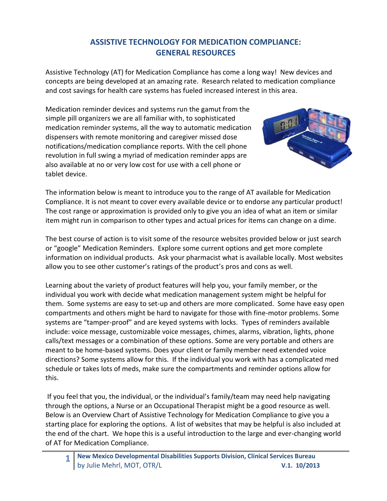## **ASSISTIVE TECHNOLOGY FOR MEDICATION COMPLIANCE: GENERAL RESOURCES**

Assistive Technology (AT) for Medication Compliance has come a long way! New devices and concepts are being developed at an amazing rate. Research related to medication compliance and cost savings for health care systems has fueled increased interest in this area.

Medication reminder devices and systems run the gamut from the simple pill organizers we are all familiar with, to sophisticated medication reminder systems, all the way to automatic medication dispensers with remote monitoring and caregiver missed dose notifications/medication compliance reports. With the cell phone revolution in full swing a myriad of medication reminder apps are also available at no or very low cost for use with a cell phone or tablet device.



The information below is meant to introduce you to the range of AT available for Medication Compliance. It is not meant to cover every available device or to endorse any particular product! The cost range or approximation is provided only to give you an idea of what an item or similar item might run in comparison to other types and actual prices for items can change on a dime.

The best course of action is to visit some of the resource websites provided below or just search or "google" Medication Reminders. Explore some current options and get more complete information on individual products. Ask your pharmacist what is available locally. Most websites allow you to see other customer's ratings of the product's pros and cons as well.

Learning about the variety of product features will help you, your family member, or the individual you work with decide what medication management system might be helpful for them. Some systems are easy to set-up and others are more complicated. Some have easy open compartments and others might be hard to navigate for those with fine-motor problems. Some systems are "tamper-proof" and are keyed systems with locks. Types of reminders available include: voice message, customizable voice messages, chimes, alarms, vibration, lights, phone calls/text messages or a combination of these options. Some are very portable and others are meant to be home-based systems. Does your client or family member need extended voice directions? Some systems allow for this. If the individual you work with has a complicated med schedule or takes lots of meds, make sure the compartments and reminder options allow for this.

If you feel that you, the individual, or the individual's family/team may need help navigating through the options, a Nurse or an Occupational Therapist might be a good resource as well. Below is an Overview Chart of Assistive Technology for Medication Compliance to give you a starting place for exploring the options. A list of websites that may be helpful is also included at the end of the chart. We hope this is a useful introduction to the large and ever-changing world of AT for Medication Compliance.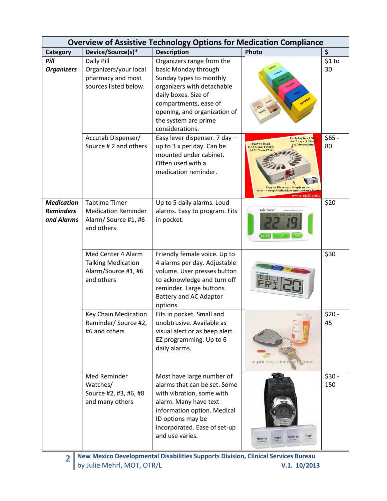| <b>Overview of Assistive Technology Options for Medication Compliance</b> |                                                                                         |                                                                                                                                                                                                                                        |                                                                                                                                                                                                                |                |
|---------------------------------------------------------------------------|-----------------------------------------------------------------------------------------|----------------------------------------------------------------------------------------------------------------------------------------------------------------------------------------------------------------------------------------|----------------------------------------------------------------------------------------------------------------------------------------------------------------------------------------------------------------|----------------|
| Category                                                                  | Device/Source(s)*                                                                       | <b>Description</b>                                                                                                                                                                                                                     | Photo                                                                                                                                                                                                          | \$             |
| Pill<br><b>Organizers</b>                                                 | Daily Pill<br>Organizers/your local<br>pharmacy and most<br>sources listed below.       | Organizers range from the<br>basic Monday through<br>Sunday types to monthly<br>organizers with detachable<br>daily boxes. Size of<br>compartments, ease of<br>opening, and organization of<br>the system are prime<br>considerations. |                                                                                                                                                                                                                | \$1 to<br>30   |
|                                                                           | Accutab Dispenser/<br>Source # 2 and others                                             | Easy lever dispenser. 7 day -<br>up to 3 x per day. Can be<br>mounted under cabinet.<br>Often used with a<br>medication reminder.                                                                                                      | Each day has 3 S<br>for 7 days (1 Wee<br><b>Easy to Read</b><br><b>AYS and TIMES</b><br><b>AM.Noon.PM</b><br><b>Easy to Dispense</b><br>Simply mo<br>lever to drop Medications into patient's<br>www.epill.com | $$65 -$<br>80  |
| <b>Medication</b><br><b>Reminders</b><br>and Alarms                       | <b>Tabtime Timer</b><br><b>Medication Reminder</b><br>Alarm/Source #1, #6<br>and others | Up to 5 daily alarms. Loud<br>alarms. Easy to program. Fits<br>in pocket.                                                                                                                                                              | Tab Timer<br>ST/S                                                                                                                                                                                              | \$20           |
|                                                                           | Med Center 4 Alarm<br><b>Talking Medication</b><br>Alarm/Source #1, #6<br>and others    | Friendly female voice. Up to<br>4 alarms per day. Adjustable<br>volume. User presses button<br>to acknowledge and turn off<br>reminder. Large buttons.<br><b>Battery and AC Adaptor</b><br>options.                                    |                                                                                                                                                                                                                | \$30           |
|                                                                           | Key Chain Medication<br>Reminder/Source #2,<br>#6 and others                            | Fits in pocket. Small and<br>unobtrusive. Available as<br>visual alert or as beep alert.<br>EZ programming. Up to 6<br>daily alarms.                                                                                                   | e-pill Key-Chain Remunder                                                                                                                                                                                      | $$20 -$<br>45  |
|                                                                           | Med Reminder<br>Watches/<br>Source #2, #3, #6, #8<br>and many others                    | Most have large number of<br>alarms that can be set. Some<br>with vibration, some with<br>alarm. Many have text<br>information option. Medical<br>ID options may be<br>incorporated. Ease of set-up<br>and use varies.                 | Night<br>Income<br>Evening<br><b>Noon</b><br>Morning<br><b>Bidaktak</b>                                                                                                                                        | $$30 -$<br>150 |

**2 New Mexico Developmental Disabilities Supports Division, Clinical Services Bureau** by Julie Mehrl, MOT, OTR/L **V.1. 10/2013**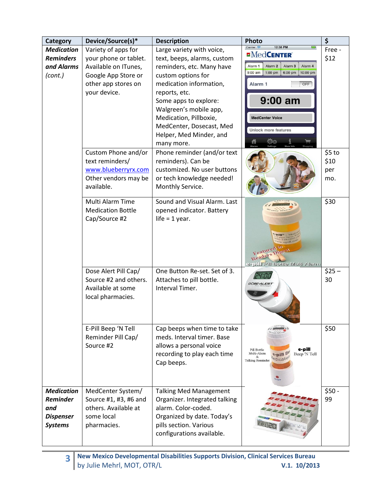| <b>Category</b>                                                                   | Device/Source(s)*                                                                                                                  | <b>Description</b>                                                                                                                                                                                                                                                                                        | Photo                                                                                                                                                                                                                                                                                                  | \$                           |
|-----------------------------------------------------------------------------------|------------------------------------------------------------------------------------------------------------------------------------|-----------------------------------------------------------------------------------------------------------------------------------------------------------------------------------------------------------------------------------------------------------------------------------------------------------|--------------------------------------------------------------------------------------------------------------------------------------------------------------------------------------------------------------------------------------------------------------------------------------------------------|------------------------------|
| <b>Medication</b><br><b>Reminders</b><br>and Alarms<br>(cont.)                    | Variety of apps for<br>your phone or tablet.<br>Available on ITunes,<br>Google App Store or<br>other app stores on<br>your device. | Large variety with voice,<br>text, beeps, alarms, custom<br>reminders, etc. Many have<br>custom options for<br>medication information,<br>reports, etc.<br>Some apps to explore:<br>Walgreen's mobile app,<br>Medication, Pillboxie,<br>MedCenter, Dosecast, Med<br>Helper, Med Minder, and<br>many more. | Carrier <i>इ</i><br>12:38 PM<br><b>EMedCENTER</b><br>Alarm <sub>2</sub><br>Alarm <sub>1</sub><br>Alarm <sub>3</sub><br>Alarm 4<br>1:00 pm<br>$9:00$ am<br>6:00 pm<br>10:00 pm<br>Alarm <sub>1</sub><br>OFF<br>$9:00$ am<br><b>MedCenter Voice</b><br><b>Unlock more features</b><br>$\phi_{\phi}$<br>侖 | Free -<br>\$12               |
|                                                                                   | Custom Phone and/or<br>text reminders/<br>www.blueberryrx.com<br>Other vendors may be<br>available.                                | Phone reminder (and/or text<br>reminders). Can be<br>customized. No user buttons<br>or tech knowledge needed!<br>Monthly Service.                                                                                                                                                                         |                                                                                                                                                                                                                                                                                                        | \$5 to<br>\$10<br>per<br>mo. |
|                                                                                   | Multi Alarm Time<br><b>Medication Bottle</b><br>Cap/Source #2                                                                      | Sound and Visual Alarm. Last<br>opened indicator. Battery<br>life = $1$ year.                                                                                                                                                                                                                             | $PIII^{\infty}$   $M$<br>ww.epill.col<br>Featured in<br>Readers<br>e-pill Pill Bottle Multi Alarm                                                                                                                                                                                                      | \$30                         |
|                                                                                   | Dose Alert Pill Cap/<br>Source #2 and others.<br>Available at some<br>local pharmacies.                                            | One Button Re-set. Set of 3.<br>Attaches to pill bottle.<br>Interval Timer.                                                                                                                                                                                                                               | <i>DOSE-ALERT</i>                                                                                                                                                                                                                                                                                      | $$25 -$<br>30                |
|                                                                                   | E-Pill Beep 'N Tell<br>Reminder Pill Cap/<br>Source #2                                                                             | Cap beeps when time to take<br>meds. Interval timer. Base<br>allows a personal voice<br>recording to play each time<br>Cap beeps.                                                                                                                                                                         | e-pill<br>Pill Bottle<br>Multi-Alarm<br>e-pill Be<br>Beep 'N Tell<br>$\&$<br>edication<br><b>Talking Reminder</b><br>GHIOFF                                                                                                                                                                            | \$50                         |
| <b>Medication</b><br><b>Reminder</b><br>and<br><b>Dispenser</b><br><b>Systems</b> | MedCenter System/<br>Source #1, #3, #6 and<br>others. Available at<br>some local<br>pharmacies.                                    | <b>Talking Med Management</b><br>Organizer. Integrated talking<br>alarm. Color-coded.<br>Organized by date. Today's<br>pills section. Various<br>configurations available.                                                                                                                                |                                                                                                                                                                                                                                                                                                        | $$50 -$<br>99                |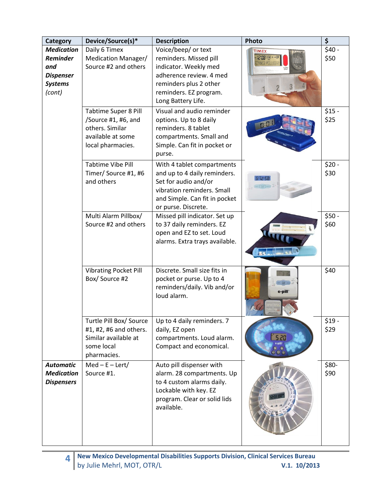| <b>Category</b>                                                                             | Device/Source(s)*                                                                                      | <b>Description</b>                                                                                                                                                                                       | Photo        | \$                         |
|---------------------------------------------------------------------------------------------|--------------------------------------------------------------------------------------------------------|----------------------------------------------------------------------------------------------------------------------------------------------------------------------------------------------------------|--------------|----------------------------|
| <b>Medication</b><br><b>Reminder</b><br>and<br><b>Dispenser</b><br><b>Systems</b><br>(cont) | Daily 6 Timex<br>Medication Manager/<br>Source #2 and others<br><b>Tabtime Super 8 Pill</b>            | Voice/beep/ or text<br>reminders. Missed pill<br>indicator. Weekly med<br>adherence review. 4 med<br>reminders plus 2 other<br>reminders. EZ program.<br>Long Battery Life.<br>Visual and audio reminder | <b>TIMEX</b> | $$40 -$<br>\$50<br>$$15 -$ |
|                                                                                             | /Source #1, #6, and<br>others. Similar<br>available at some<br>local pharmacies.                       | options. Up to 8 daily<br>reminders. 8 tablet<br>compartments. Small and<br>Simple. Can fit in pocket or<br>purse.                                                                                       |              | \$25                       |
|                                                                                             | <b>Tabtime Vibe Pill</b><br>Timer/ Source #1, #6<br>and others                                         | With 4 tablet compartments<br>and up to 4 daily reminders.<br>Set for audio and/or<br>vibration reminders. Small<br>and Simple. Can fit in pocket<br>or purse. Discrete.                                 | $5 - 35$     | $$20 -$<br>\$30            |
|                                                                                             | Multi Alarm Pillbox/<br>Source #2 and others                                                           | Missed pill indicator. Set up<br>to 37 daily reminders. EZ<br>open and EZ to set. Loud<br>alarms. Extra trays available.                                                                                 |              | $$50 -$<br>\$60            |
|                                                                                             | <b>Vibrating Pocket Pill</b><br>Box/Source #2                                                          | Discrete. Small size fits in<br>pocket or purse. Up to 4<br>reminders/daily. Vib and/or<br>loud alarm.                                                                                                   | e-pill       | \$40                       |
|                                                                                             | Turtle Pill Box/ Source<br>#1, #2, #6 and others.<br>Similar available at<br>some local<br>pharmacies. | Up to 4 daily reminders. 7<br>daily, EZ open<br>compartments. Loud alarm.<br>Compact and economical.                                                                                                     | S 20         | \$19 -<br>\$29             |
| <b>Automatic</b><br><b>Medication</b><br><b>Dispensers</b>                                  | $Med - E - Let/$<br>Source #1.                                                                         | Auto pill dispenser with<br>alarm. 28 compartments. Up<br>to 4 custom alarms daily.<br>Lockable with key. EZ<br>program. Clear or solid lids<br>available.                                               |              | \$80-<br>\$90              |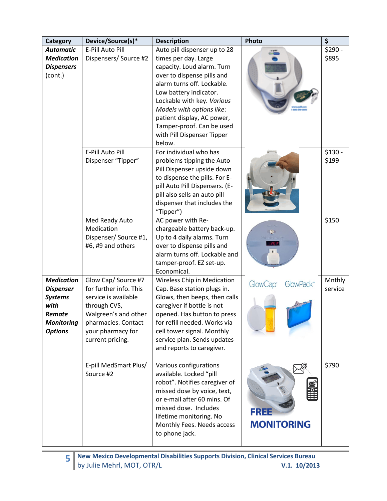| <b>Category</b>                                                                                                  | Device/Source(s)*                                                                                                                                                             | <b>Description</b>                                                                                                                                                                                                                                                                                                                     | Photo                                                | \$                |
|------------------------------------------------------------------------------------------------------------------|-------------------------------------------------------------------------------------------------------------------------------------------------------------------------------|----------------------------------------------------------------------------------------------------------------------------------------------------------------------------------------------------------------------------------------------------------------------------------------------------------------------------------------|------------------------------------------------------|-------------------|
| <b>Automatic</b><br><b>Medication</b><br><b>Dispensers</b><br>(cont.)                                            | E-Pill Auto Pill<br>Dispensers/ Source #2                                                                                                                                     | Auto pill dispenser up to 28<br>times per day. Large<br>capacity. Loud alarm. Turn<br>over to dispense pills and<br>alarm turns off. Lockable.<br>Low battery indicator.<br>Lockable with key. Various<br>Models with options like:<br>patient display, AC power,<br>Tamper-proof. Can be used<br>with Pill Dispenser Tipper<br>below. |                                                      | $$290 -$<br>\$895 |
|                                                                                                                  | E-Pill Auto Pill<br>Dispenser "Tipper"                                                                                                                                        | For individual who has<br>problems tipping the Auto<br>Pill Dispenser upside down<br>to dispense the pills. For E-<br>pill Auto Pill Dispensers. (E-<br>pill also sells an auto pill<br>dispenser that includes the<br>"Tipper")                                                                                                       |                                                      | $$130 -$<br>\$199 |
|                                                                                                                  | Med Ready Auto<br>Medication<br>Dispenser/Source #1,<br>#6, #9 and others                                                                                                     | AC power with Re-<br>chargeable battery back-up.<br>Up to 4 daily alarms. Turn<br>over to dispense pills and<br>alarm turns off. Lockable and<br>tamper-proof. EZ set-up.<br>Economical.                                                                                                                                               | $\mathbf{R}$<br>Medites diy<br>1203.<br>$\mathbf{H}$ | \$150             |
| <b>Medication</b><br><b>Dispenser</b><br><b>Systems</b><br>with<br>Remote<br><b>Monitoring</b><br><b>Options</b> | Glow Cap/ Source #7<br>for further info. This<br>service is available<br>through CVS,<br>Walgreen's and other<br>pharmacies. Contact<br>your pharmacy for<br>current pricing. | Wireless Chip in Medication<br>Cap. Base station plugs in.<br>Glows, then beeps, then calls<br>caregiver if bottle is not<br>opened. Has button to press<br>for refill needed. Works via<br>cell tower signal. Monthly<br>service plan. Sends updates<br>and reports to caregiver.                                                     | GlowCap <sup>®</sup><br>GlowPack <sup>*</sup>        | Mnthly<br>service |
|                                                                                                                  | E-pill MedSmart Plus/<br>Source #2                                                                                                                                            | Various configurations<br>available. Locked "pill<br>robot". Notifies caregiver of<br>missed dose by voice, text,<br>or e-mail after 60 mins. Of<br>missed dose. Includes<br>lifetime monitoring. No<br>Monthly Fees. Needs access<br>to phone jack.                                                                                   | FREE<br><b>MONITORING</b>                            | \$790             |